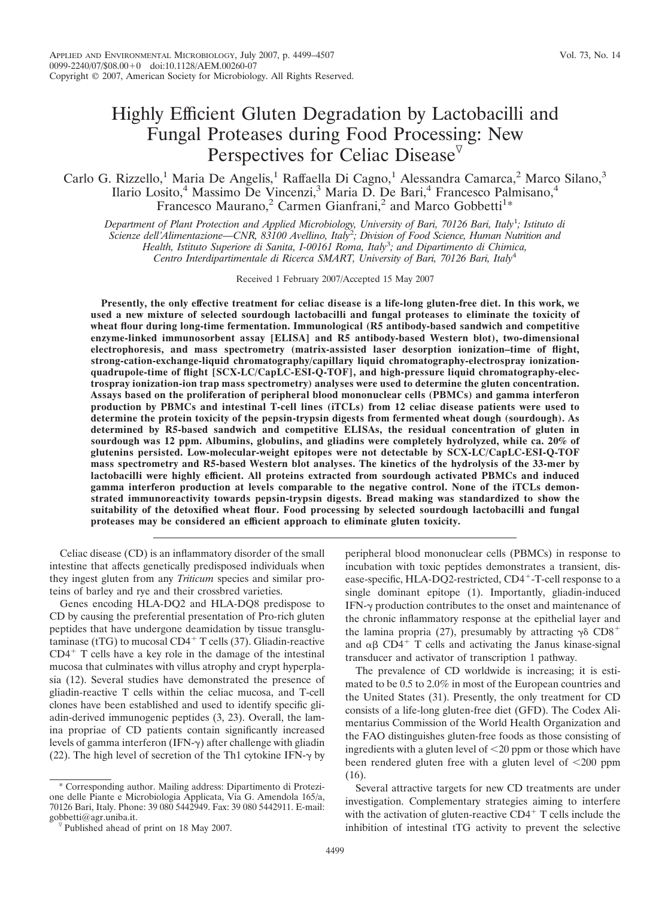# Highly Efficient Gluten Degradation by Lactobacilli and Fungal Proteases during Food Processing: New Perspectives for Celiac Disease<sup> $\triangledown$ </sup>

# Carlo G. Rizzello,<sup>1</sup> Maria De Angelis,<sup>1</sup> Raffaella Di Cagno,<sup>1</sup> Alessandra Camarca,<sup>2</sup> Marco Silano,<sup>3</sup> Ilario Losito,<sup>4</sup> Massimo De Vincenzi,<sup>3</sup> Maria D. De Bari,<sup>4</sup> Francesco Palmisano,<sup>4</sup> Francesco Maurano,<sup>2</sup> Carmen Gianfrani,<sup>2</sup> and Marco Gobbetti<sup>1</sup>\*

*Department of Plant Protection and Applied Microbiology, University of Bari, 70126 Bari, Italy*<sup>1</sup> *; Istituto di Scienze dell'Alimentazione—CNR, 83100 Avellino, Italy*<sup>2</sup> *; Division of Food Science, Human Nutrition and Health, Istituto Superiore di Sanita, I-00161 Roma, Italy*<sup>3</sup> *; and Dipartimento di Chimica, Centro Interdipartimentale di Ricerca SMART, University of Bari, 70126 Bari, Italy*<sup>4</sup>

Received 1 February 2007/Accepted 15 May 2007

**Presently, the only effective treatment for celiac disease is a life-long gluten-free diet. In this work, we used a new mixture of selected sourdough lactobacilli and fungal proteases to eliminate the toxicity of wheat flour during long-time fermentation. Immunological (R5 antibody-based sandwich and competitive enzyme-linked immunosorbent assay [ELISA] and R5 antibody-based Western blot), two-dimensional electrophoresis, and mass spectrometry (matrix-assisted laser desorption ionization–time of flight, strong-cation-exchange-liquid chromatography/capillary liquid chromatography-electrospray ionizationquadrupole-time of flight [SCX-LC/CapLC-ESI-Q-TOF], and high-pressure liquid chromatography-electrospray ionization-ion trap mass spectrometry) analyses were used to determine the gluten concentration. Assays based on the proliferation of peripheral blood mononuclear cells (PBMCs) and gamma interferon production by PBMCs and intestinal T-cell lines (iTCLs) from 12 celiac disease patients were used to determine the protein toxicity of the pepsin-trypsin digests from fermented wheat dough (sourdough). As determined by R5-based sandwich and competitive ELISAs, the residual concentration of gluten in sourdough was 12 ppm. Albumins, globulins, and gliadins were completely hydrolyzed, while ca. 20% of glutenins persisted. Low-molecular-weight epitopes were not detectable by SCX-LC/CapLC-ESI-Q-TOF mass spectrometry and R5-based Western blot analyses. The kinetics of the hydrolysis of the 33-mer by lactobacilli were highly efficient. All proteins extracted from sourdough activated PBMCs and induced gamma interferon production at levels comparable to the negative control. None of the iTCLs demonstrated immunoreactivity towards pepsin-trypsin digests. Bread making was standardized to show the suitability of the detoxified wheat flour. Food processing by selected sourdough lactobacilli and fungal proteases may be considered an efficient approach to eliminate gluten toxicity.**

Celiac disease (CD) is an inflammatory disorder of the small intestine that affects genetically predisposed individuals when they ingest gluten from any *Triticum* species and similar proteins of barley and rye and their crossbred varieties.

Genes encoding HLA-DQ2 and HLA-DQ8 predispose to CD by causing the preferential presentation of Pro-rich gluten peptides that have undergone deamidation by tissue transglutaminase (tTG) to mucosal  $CD4+T$  cells (37). Gliadin-reactive  $CD4<sup>+</sup>$  T cells have a key role in the damage of the intestinal mucosa that culminates with villus atrophy and crypt hyperplasia (12). Several studies have demonstrated the presence of gliadin-reactive T cells within the celiac mucosa, and T-cell clones have been established and used to identify specific gliadin-derived immunogenic peptides (3, 23). Overall, the lamina propriae of CD patients contain significantly increased levels of gamma interferon (IFN- $\gamma$ ) after challenge with gliadin (22). The high level of secretion of the Th1 cytokine IFN- $\gamma$  by

\* Corresponding author. Mailing address: Dipartimento di Protezione delle Piante e Microbiologia Applicata, Via G. Amendola 165/a, 70126 Bari, Italy. Phone: 39 080 5442949. Fax: 39 080 5442911. E-mail:

peripheral blood mononuclear cells (PBMCs) in response to incubation with toxic peptides demonstrates a transient, disease-specific, HLA-DQ2-restricted, CD4<sup>+</sup>-T-cell response to a single dominant epitope (1). Importantly, gliadin-induced IFN- $\gamma$  production contributes to the onset and maintenance of the chronic inflammatory response at the epithelial layer and the lamina propria (27), presumably by attracting  $\gamma\delta$  CD8<sup>+</sup> and  $\alpha\beta$  CD4<sup>+</sup> T cells and activating the Janus kinase-signal transducer and activator of transcription 1 pathway.

The prevalence of CD worldwide is increasing; it is estimated to be 0.5 to 2.0% in most of the European countries and the United States (31). Presently, the only treatment for CD consists of a life-long gluten-free diet (GFD). The Codex Alimentarius Commission of the World Health Organization and the FAO distinguishes gluten-free foods as those consisting of ingredients with a gluten level of  $\leq$ 20 ppm or those which have been rendered gluten free with a gluten level of  $\leq 200$  ppm (16).

Several attractive targets for new CD treatments are under investigation. Complementary strategies aiming to interfere with the activation of gluten-reactive  $CD4^+$  T cells include the inhibition of intestinal tTG activity to prevent the selective

 $\nabla$  Published ahead of print on 18 May 2007.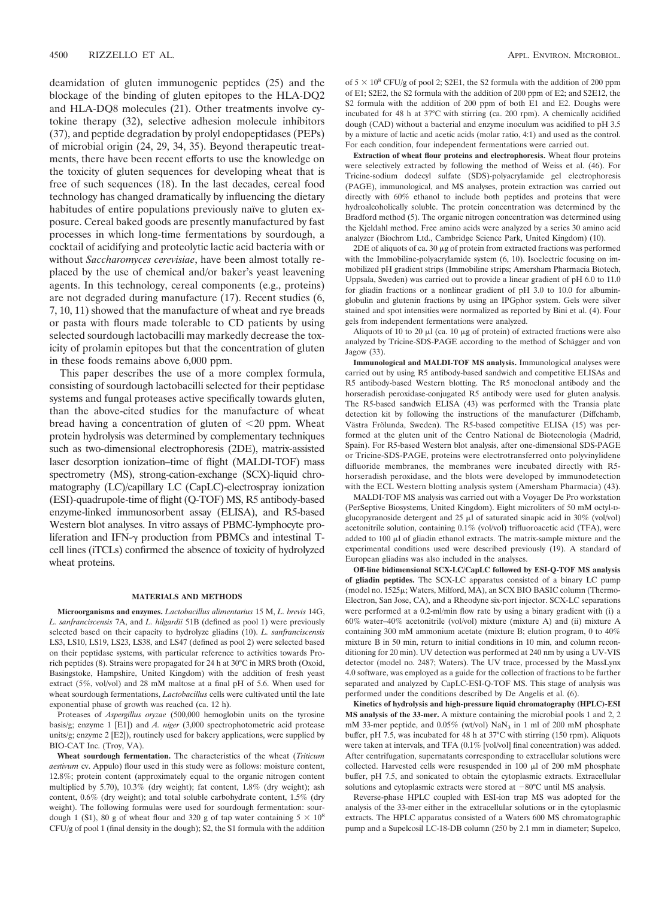deamidation of gluten immunogenic peptides (25) and the blockage of the binding of gluten epitopes to the HLA-DQ2 and HLA-DQ8 molecules (21). Other treatments involve cytokine therapy (32), selective adhesion molecule inhibitors (37), and peptide degradation by prolyl endopeptidases (PEPs) of microbial origin (24, 29, 34, 35). Beyond therapeutic treatments, there have been recent efforts to use the knowledge on the toxicity of gluten sequences for developing wheat that is free of such sequences (18). In the last decades, cereal food technology has changed dramatically by influencing the dietary habitudes of entire populations previously naïve to gluten exposure. Cereal baked goods are presently manufactured by fast processes in which long-time fermentations by sourdough, a cocktail of acidifying and proteolytic lactic acid bacteria with or without *Saccharomyces cerevisiae*, have been almost totally replaced by the use of chemical and/or baker's yeast leavening agents. In this technology, cereal components (e.g., proteins) are not degraded during manufacture (17). Recent studies (6, 7, 10, 11) showed that the manufacture of wheat and rye breads or pasta with flours made tolerable to CD patients by using selected sourdough lactobacilli may markedly decrease the toxicity of prolamin epitopes but that the concentration of gluten in these foods remains above 6,000 ppm.

This paper describes the use of a more complex formula, consisting of sourdough lactobacilli selected for their peptidase systems and fungal proteases active specifically towards gluten, than the above-cited studies for the manufacture of wheat bread having a concentration of gluten of  $\leq 20$  ppm. Wheat protein hydrolysis was determined by complementary techniques such as two-dimensional electrophoresis (2DE), matrix-assisted laser desorption ionization–time of flight (MALDI-TOF) mass spectrometry (MS), strong-cation-exchange (SCX)-liquid chromatography (LC)/capillary LC (CapLC)-electrospray ionization (ESI)-quadrupole-time of flight (Q-TOF) MS, R5 antibody-based enzyme-linked immunosorbent assay (ELISA), and R5-based Western blot analyses. In vitro assays of PBMC-lymphocyte proliferation and IFN- $\gamma$  production from PBMCs and intestinal Tcell lines (iTCLs) confirmed the absence of toxicity of hydrolyzed wheat proteins.

#### **MATERIALS AND METHODS**

**Microorganisms and enzymes.** *Lactobacillus alimentarius* 15 M, *L. brevis* 14G, *L. sanfranciscensis* 7A, and *L. hilgardii* 51B (defined as pool 1) were previously selected based on their capacity to hydrolyze gliadins (10). *L. sanfranciscensis* LS3, LS10, LS19, LS23, LS38, and LS47 (defined as pool 2) were selected based on their peptidase systems, with particular reference to activities towards Prorich peptides (8). Strains were propagated for 24 h at 30°C in MRS broth (Oxoid, Basingstoke, Hampshire, United Kingdom) with the addition of fresh yeast extract (5%, vol/vol) and 28 mM maltose at a final pH of 5.6. When used for wheat sourdough fermentations, *Lactobacillus* cells were cultivated until the late exponential phase of growth was reached (ca. 12 h).

Proteases of *Aspergillus oryzae* (500,000 hemoglobin units on the tyrosine basis/g; enzyme 1 [E1]) and *A. niger* (3,000 spectrophotometric acid protease units/g; enzyme 2 [E2]), routinely used for bakery applications, were supplied by BIO-CAT Inc. (Troy, VA).

**Wheat sourdough fermentation.** The characteristics of the wheat (*Triticum aestivum* cv. Appulo) flour used in this study were as follows: moisture content, 12.8%; protein content (approximately equal to the organic nitrogen content multiplied by 5.70), 10.3% (dry weight); fat content, 1.8% (dry weight); ash content, 0.6% (dry weight); and total soluble carbohydrate content, 1.5% (dry weight). The following formulas were used for sourdough fermentation: sourdough 1 (S1), 80 g of wheat flour and 320 g of tap water containing  $5 \times 10^8$ CFU/g of pool 1 (final density in the dough); S2, the S1 formula with the addition

of  $5 \times 10^8$  CFU/g of pool 2; S2E1, the S2 formula with the addition of 200 ppm of E1; S2E2, the S2 formula with the addition of 200 ppm of E2; and S2E12, the S2 formula with the addition of 200 ppm of both E1 and E2. Doughs were incubated for 48 h at 37°C with stirring (ca. 200 rpm). A chemically acidified dough (CAD) without a bacterial and enzyme inoculum was acidified to pH 3.5 by a mixture of lactic and acetic acids (molar ratio, 4:1) and used as the control. For each condition, four independent fermentations were carried out.

**Extraction of wheat flour proteins and electrophoresis.** Wheat flour proteins were selectively extracted by following the method of Weiss et al. (46). For Tricine-sodium dodecyl sulfate (SDS)-polyacrylamide gel electrophoresis (PAGE), immunological, and MS analyses, protein extraction was carried out directly with 60% ethanol to include both peptides and proteins that were hydroalcoholically soluble. The protein concentration was determined by the Bradford method (5). The organic nitrogen concentration was determined using the Kjeldahl method. Free amino acids were analyzed by a series 30 amino acid analyzer (Biochrom Ltd., Cambridge Science Park, United Kingdom) (10).

 $2DE$  of aliquots of ca. 30  $\mu$ g of protein from extracted fractions was performed with the Immobiline-polyacrylamide system (6, 10). Isoelectric focusing on immobilized pH gradient strips (Immobiline strips; Amersham Pharmacia Biotech, Uppsala, Sweden) was carried out to provide a linear gradient of pH 6.0 to 11.0 for gliadin fractions or a nonlinear gradient of pH 3.0 to 10.0 for albuminglobulin and glutenin fractions by using an IPGphor system. Gels were silver stained and spot intensities were normalized as reported by Bini et al. (4). Four gels from independent fermentations were analyzed.

Aliquots of 10 to 20  $\mu$ l (ca. 10  $\mu$ g of protein) of extracted fractions were also analyzed by Tricine-SDS-PAGE according to the method of Schägger and von Jagow (33).

**Immunological and MALDI-TOF MS analysis.** Immunological analyses were carried out by using R5 antibody-based sandwich and competitive ELISAs and R5 antibody-based Western blotting. The R5 monoclonal antibody and the horseradish peroxidase-conjugated R5 antibody were used for gluten analysis. The R5-based sandwich ELISA (43) was performed with the Transia plate detection kit by following the instructions of the manufacturer (Diffchamb, Västra Frölunda, Sweden). The R5-based competitive ELISA (15) was performed at the gluten unit of the Centro National de Biotecnologia (Madrid, Spain). For R5-based Western blot analysis, after one-dimensional SDS-PAGE or Tricine-SDS-PAGE, proteins were electrotransferred onto polyvinylidene difluoride membranes, the membranes were incubated directly with R5 horseradish peroxidase, and the blots were developed by immunodetection with the ECL Western blotting analysis system (Amersham Pharmacia) (43).

MALDI-TOF MS analysis was carried out with a Voyager De Pro workstation (PerSeptive Biosystems, United Kingdom). Eight microliters of 50 mM octyl-Dglucopyranoside detergent and 25  $\mu$ l of saturated sinapic acid in 30% (vol/vol) acetonitrile solution, containing 0.1% (vol/vol) trifluoroacetic acid (TFA), were added to  $100 \mu l$  of gliadin ethanol extracts. The matrix-sample mixture and the experimental conditions used were described previously (19). A standard of European gliadins was also included in the analyses.

**Off-line bidimensional SCX-LC/CapLC followed by ESI-Q-TOF MS analysis of gliadin peptides.** The SCX-LC apparatus consisted of a binary LC pump (model no.  $1525\mu$ ; Waters, Milford, MA), an SCX BIO BASIC column (Thermo-Electron, San Jose, CA), and a Rheodyne six-port injector. SCX-LC separations were performed at a 0.2-ml/min flow rate by using a binary gradient with (i) a 60% water–40% acetonitrile (vol/vol) mixture (mixture A) and (ii) mixture A containing 300 mM ammonium acetate (mixture B; elution program, 0 to 40% mixture B in 50 min, return to initial conditions in 10 min, and column reconditioning for 20 min). UV detection was performed at 240 nm by using a UV-VIS detector (model no. 2487; Waters). The UV trace, processed by the MassLynx 4.0 software, was employed as a guide for the collection of fractions to be further separated and analyzed by CapLC-ESI-Q-TOF MS. This stage of analysis was performed under the conditions described by De Angelis et al. (6).

**Kinetics of hydrolysis and high-pressure liquid chromatography (HPLC)-ESI MS analysis of the 33-mer.** A mixture containing the microbial pools 1 and 2, 2 mM 33-mer peptide, and 0.05% (wt/vol) NaN<sub>3</sub> in 1 ml of 200 mM phosphate buffer, pH 7.5, was incubated for 48 h at 37°C with stirring (150 rpm). Aliquots were taken at intervals, and TFA (0.1% [vol/vol] final concentration) was added. After centrifugation, supernatants corresponding to extracellular solutions were collected. Harvested cells were resuspended in 100  $\mu$ l of 200 mM phosphate buffer, pH 7.5, and sonicated to obtain the cytoplasmic extracts. Extracellular solutions and cytoplasmic extracts were stored at  $-80^{\circ}$ C until MS analysis.

Reverse-phase HPLC coupled with ESI-ion trap MS was adopted for the analysis of the 33-mer either in the extracellular solutions or in the cytoplasmic extracts. The HPLC apparatus consisted of a Waters 600 MS chromatographic pump and a Supelcosil LC-18-DB column (250 by 2.1 mm in diameter; Supelco,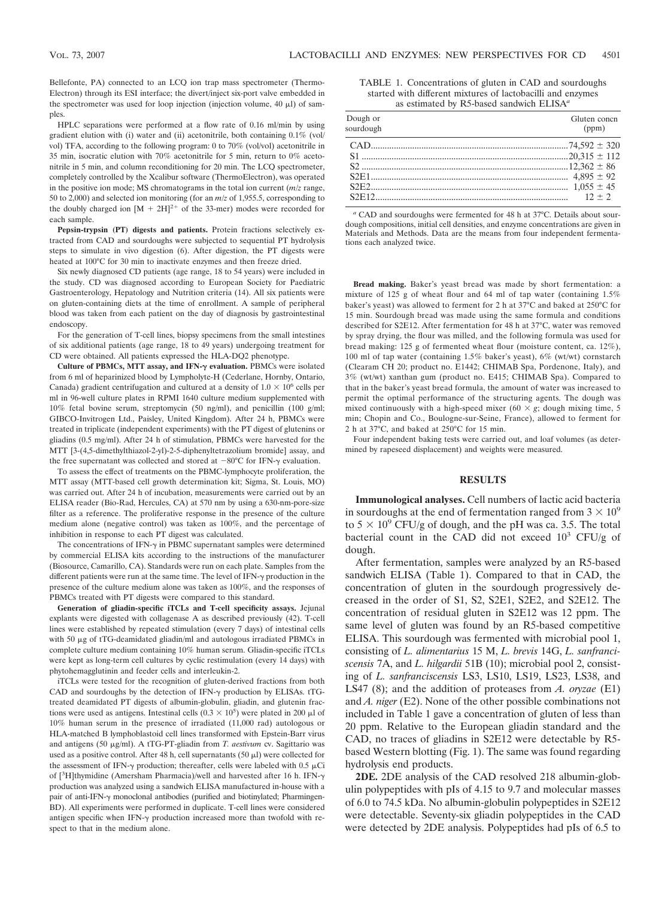Bellefonte, PA) connected to an LCQ ion trap mass spectrometer (Thermo-Electron) through its ESI interface; the divert/inject six-port valve embedded in the spectrometer was used for loop injection (injection volume,  $40 \mu l$ ) of samples.

HPLC separations were performed at a flow rate of 0.16 ml/min by using gradient elution with (i) water and (ii) acetonitrile, both containing 0.1% (vol/ vol) TFA, according to the following program: 0 to 70% (vol/vol) acetonitrile in 35 min, isocratic elution with 70% acetonitrile for 5 min, return to 0% acetonitrile in 5 min, and column reconditioning for 20 min. The LCQ spectrometer, completely controlled by the Xcalibur software (ThermoElectron), was operated in the positive ion mode; MS chromatograms in the total ion current (*m/z* range, 50 to 2,000) and selected ion monitoring (for an *m/z* of 1,955.5, corresponding to the doubly charged ion  $[M + 2H]^{2+}$  of the 33-mer) modes were recorded for each sample.

**Pepsin-trypsin (PT) digests and patients.** Protein fractions selectively extracted from CAD and sourdoughs were subjected to sequential PT hydrolysis steps to simulate in vivo digestion (6). After digestion, the PT digests were heated at 100<sup>o</sup>C for 30 min to inactivate enzymes and then freeze dried.

Six newly diagnosed CD patients (age range, 18 to 54 years) were included in the study. CD was diagnosed according to European Society for Paediatric Gastroenterology, Hepatology and Nutrition criteria (14). All six patients were on gluten-containing diets at the time of enrollment. A sample of peripheral blood was taken from each patient on the day of diagnosis by gastrointestinal endoscopy.

For the generation of T-cell lines, biopsy specimens from the small intestines of six additional patients (age range, 18 to 49 years) undergoing treatment for CD were obtained. All patients expressed the HLA-DQ2 phenotype.

**Culture of PBMCs, MTT assay, and IFN- evaluation.** PBMCs were isolated from 6 ml of heparinized blood by Lympholyte-H (Cederlane, Hornby, Ontario, Canada) gradient centrifugation and cultured at a density of  $1.0 \times 10^6$  cells per ml in 96-well culture plates in RPMI 1640 culture medium supplemented with 10% fetal bovine serum, streptomycin (50 ng/ml), and penicillin (100 g/ml; GIBCO-Invitrogen Ltd., Paisley, United Kingdom). After 24 h, PBMCs were treated in triplicate (independent experiments) with the PT digest of glutenins or gliadins (0.5 mg/ml). After 24 h of stimulation, PBMCs were harvested for the MTT [3-(4,5-dimethylthiazol-2-yl)-2-5-diphenyltetrazolium bromide] assay, and the free supernatant was collected and stored at  $-80^{\circ}$ C for IFN- $\gamma$  evaluation.

To assess the effect of treatments on the PBMC-lymphocyte proliferation, the MTT assay (MTT-based cell growth determination kit; Sigma, St. Louis, MO) was carried out. After 24 h of incubation, measurements were carried out by an ELISA reader (Bio-Rad, Hercules, CA) at 570 nm by using a 630-nm-pore-size filter as a reference. The proliferative response in the presence of the culture medium alone (negative control) was taken as 100%, and the percentage of inhibition in response to each PT digest was calculated.

The concentrations of IFN- $\gamma$  in PBMC supernatant samples were determined by commercial ELISA kits according to the instructions of the manufacturer (Biosource, Camarillo, CA). Standards were run on each plate. Samples from the different patients were run at the same time. The level of IFN- $\gamma$  production in the presence of the culture medium alone was taken as 100%, and the responses of PBMCs treated with PT digests were compared to this standard.

**Generation of gliadin-specific iTCLs and T-cell specificity assays.** Jejunal explants were digested with collagenase A as described previously (42). T-cell lines were established by repeated stimulation (every 7 days) of intestinal cells with 50  $\mu$ g of tTG-deamidated gliadin/ml and autologous irradiated PBMCs in complete culture medium containing 10% human serum. Gliadin-specific iTCLs were kept as long-term cell cultures by cyclic restimulation (every 14 days) with phytohemagglutinin and feeder cells and interleukin-2.

iTCLs were tested for the recognition of gluten-derived fractions from both CAD and sourdoughs by the detection of IFN- $\gamma$  production by ELISAs. tTGtreated deamidated PT digests of albumin-globulin, gliadin, and glutenin fractions were used as antigens. Intestinal cells  $(0.3 \times 10^5)$  were plated in 200  $\mu$ l of 10% human serum in the presence of irradiated (11,000 rad) autologous or HLA-matched B lymphoblastoid cell lines transformed with Epstein-Barr virus and antigens (50 µg/ml). A tTG-PT-gliadin from *T. aestivum* cv. Sagittario was used as a positive control. After 48 h, cell supernatants (50  $\mu$ l) were collected for the assessment of IFN- $\gamma$  production; thereafter, cells were labeled with 0.5  $\mu$ Ci of [<sup>3</sup>H]thymidine (Amersham Pharmacia)/well and harvested after 16 h. IFN-γ production was analyzed using a sandwich ELISA manufactured in-house with a pair of anti-IFN- $\gamma$  monoclonal antibodies (purified and biotinylated; Pharmingen-BD). All experiments were performed in duplicate. T-cell lines were considered antigen specific when IFN- $\gamma$  production increased more than twofold with respect to that in the medium alone.

TABLE 1. Concentrations of gluten in CAD and sourdoughs started with different mixtures of lactobacilli and enzymes as estimated by R5-based sandwich ELISA*<sup>a</sup>*

| Dough or<br>sourdough | Gluten concn<br>(ppm) |
|-----------------------|-----------------------|
|                       |                       |
|                       |                       |
|                       |                       |
|                       |                       |
|                       |                       |
|                       |                       |
|                       |                       |

*<sup>a</sup>* CAD and sourdoughs were fermented for 48 h at 37°C. Details about sourdough compositions, initial cell densities, and enzyme concentrations are given in Materials and Methods. Data are the means from four independent fermentations each analyzed twice.

**Bread making.** Baker's yeast bread was made by short fermentation: a mixture of 125 g of wheat flour and 64 ml of tap water (containing 1.5% baker's yeast) was allowed to ferment for 2 h at 37°C and baked at 250°C for 15 min. Sourdough bread was made using the same formula and conditions described for S2E12. After fermentation for 48 h at 37°C, water was removed by spray drying, the flour was milled, and the following formula was used for bread making: 125 g of fermented wheat flour (moisture content, ca. 12%), 100 ml of tap water (containing 1.5% baker's yeast), 6% (wt/wt) cornstarch (Clearam CH 20; product no. E1442; CHIMAB Spa, Pordenone, Italy), and 3% (wt/wt) xanthan gum (product no. E415; CHIMAB Spa). Compared to that in the baker's yeast bread formula, the amount of water was increased to permit the optimal performance of the structuring agents. The dough was mixed continuously with a high-speed mixer ( $60 \times g$ ; dough mixing time, 5 min; Chopin and Co., Boulogne-sur-Seine, France), allowed to ferment for 2 h at 37°C, and baked at 250°C for 15 min.

Four independent baking tests were carried out, and loaf volumes (as determined by rapeseed displacement) and weights were measured.

### **RESULTS**

**Immunological analyses.** Cell numbers of lactic acid bacteria in sourdoughs at the end of fermentation ranged from  $3 \times 10^9$ to  $5 \times 10^9$  CFU/g of dough, and the pH was ca. 3.5. The total bacterial count in the CAD did not exceed  $10^3$  CFU/g of dough.

After fermentation, samples were analyzed by an R5-based sandwich ELISA (Table 1). Compared to that in CAD, the concentration of gluten in the sourdough progressively decreased in the order of S1, S2, S2E1, S2E2, and S2E12. The concentration of residual gluten in S2E12 was 12 ppm. The same level of gluten was found by an R5-based competitive ELISA. This sourdough was fermented with microbial pool 1, consisting of *L. alimentarius* 15 M, *L. brevis* 14G, *L. sanfranciscensis* 7A, and *L. hilgardii* 51B (10); microbial pool 2, consisting of *L. sanfranciscensis* LS3, LS10, LS19, LS23, LS38, and LS47 (8); and the addition of proteases from *A. oryzae* (E1) and *A. niger* (E2). None of the other possible combinations not included in Table 1 gave a concentration of gluten of less than 20 ppm. Relative to the European gliadin standard and the CAD, no traces of gliadins in S2E12 were detectable by R5 based Western blotting (Fig. 1). The same was found regarding hydrolysis end products.

**2DE.** 2DE analysis of the CAD resolved 218 albumin-globulin polypeptides with pIs of 4.15 to 9.7 and molecular masses of 6.0 to 74.5 kDa. No albumin-globulin polypeptides in S2E12 were detectable. Seventy-six gliadin polypeptides in the CAD were detected by 2DE analysis. Polypeptides had pIs of 6.5 to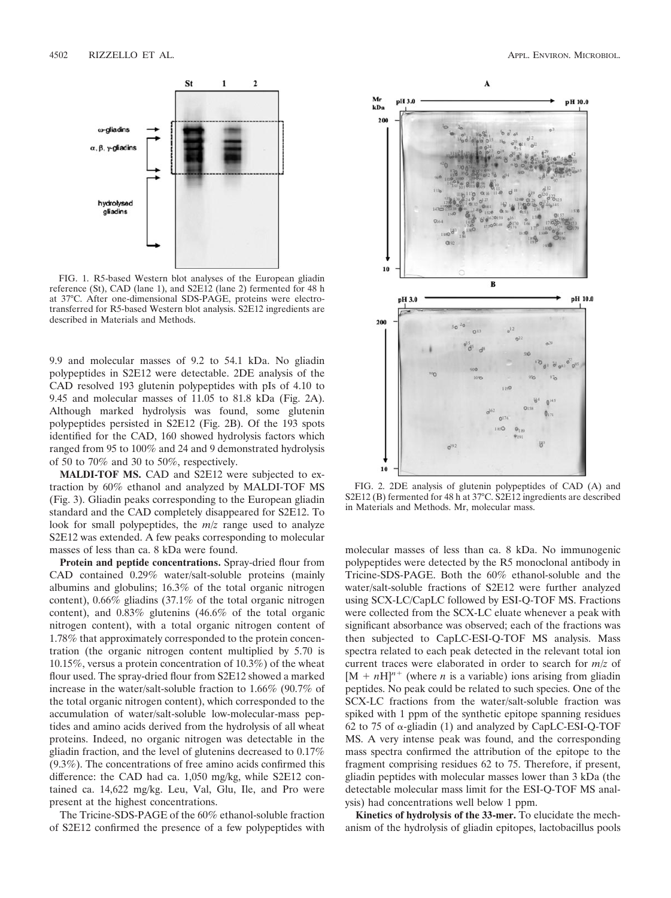

FIG. 1. R5-based Western blot analyses of the European gliadin reference (St), CAD (lane 1), and S2E12 (lane 2) fermented for 48 h at 37°C. After one-dimensional SDS-PAGE, proteins were electrotransferred for R5-based Western blot analysis. S2E12 ingredients are described in Materials and Methods.

9.9 and molecular masses of 9.2 to 54.1 kDa. No gliadin polypeptides in S2E12 were detectable. 2DE analysis of the CAD resolved 193 glutenin polypeptides with pIs of 4.10 to 9.45 and molecular masses of 11.05 to 81.8 kDa (Fig. 2A). Although marked hydrolysis was found, some glutenin polypeptides persisted in S2E12 (Fig. 2B). Of the 193 spots identified for the CAD, 160 showed hydrolysis factors which ranged from 95 to 100% and 24 and 9 demonstrated hydrolysis of 50 to 70% and 30 to 50%, respectively.

**MALDI-TOF MS.** CAD and S2E12 were subjected to extraction by 60% ethanol and analyzed by MALDI-TOF MS (Fig. 3). Gliadin peaks corresponding to the European gliadin standard and the CAD completely disappeared for S2E12. To look for small polypeptides, the *m/z* range used to analyze S2E12 was extended. A few peaks corresponding to molecular masses of less than ca. 8 kDa were found.

**Protein and peptide concentrations.** Spray-dried flour from CAD contained 0.29% water/salt-soluble proteins (mainly albumins and globulins; 16.3% of the total organic nitrogen content), 0.66% gliadins (37.1% of the total organic nitrogen content), and 0.83% glutenins (46.6% of the total organic nitrogen content), with a total organic nitrogen content of 1.78% that approximately corresponded to the protein concentration (the organic nitrogen content multiplied by 5.70 is 10.15%, versus a protein concentration of 10.3%) of the wheat flour used. The spray-dried flour from S2E12 showed a marked increase in the water/salt-soluble fraction to 1.66% (90.7% of the total organic nitrogen content), which corresponded to the accumulation of water/salt-soluble low-molecular-mass peptides and amino acids derived from the hydrolysis of all wheat proteins. Indeed, no organic nitrogen was detectable in the gliadin fraction, and the level of glutenins decreased to 0.17% (9.3%). The concentrations of free amino acids confirmed this difference: the CAD had ca. 1,050 mg/kg, while S2E12 contained ca. 14,622 mg/kg. Leu, Val, Glu, Ile, and Pro were present at the highest concentrations.

The Tricine-SDS-PAGE of the 60% ethanol-soluble fraction of S2E12 confirmed the presence of a few polypeptides with



FIG. 2. 2DE analysis of glutenin polypeptides of CAD (A) and S2E12 (B) fermented for 48 h at 37°C. S2E12 ingredients are described in Materials and Methods. Mr, molecular mass.

molecular masses of less than ca. 8 kDa. No immunogenic polypeptides were detected by the R5 monoclonal antibody in Tricine-SDS-PAGE. Both the 60% ethanol-soluble and the water/salt-soluble fractions of S2E12 were further analyzed using SCX-LC/CapLC followed by ESI-Q-TOF MS. Fractions were collected from the SCX-LC eluate whenever a peak with significant absorbance was observed; each of the fractions was then subjected to CapLC-ESI-Q-TOF MS analysis. Mass spectra related to each peak detected in the relevant total ion current traces were elaborated in order to search for *m/z* of  $[M + nH]^{n+}$  (where *n* is a variable) ions arising from gliadin peptides. No peak could be related to such species. One of the SCX-LC fractions from the water/salt-soluble fraction was spiked with 1 ppm of the synthetic epitope spanning residues 62 to 75 of  $\alpha$ -gliadin (1) and analyzed by CapLC-ESI-Q-TOF MS. A very intense peak was found, and the corresponding mass spectra confirmed the attribution of the epitope to the fragment comprising residues 62 to 75. Therefore, if present, gliadin peptides with molecular masses lower than 3 kDa (the detectable molecular mass limit for the ESI-Q-TOF MS analysis) had concentrations well below 1 ppm.

**Kinetics of hydrolysis of the 33-mer.** To elucidate the mechanism of the hydrolysis of gliadin epitopes, lactobacillus pools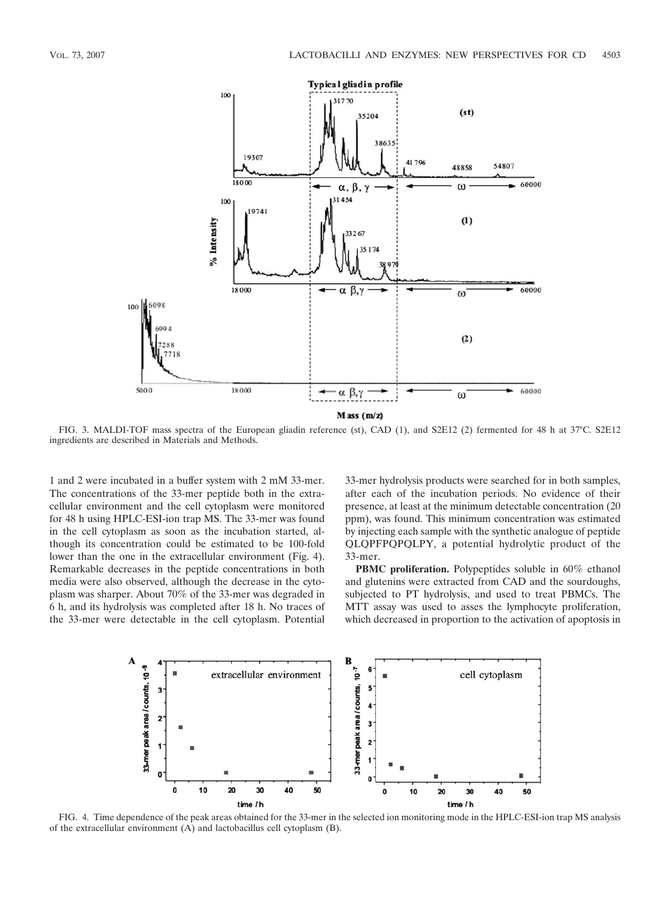

FIG. 3. MALDI-TOF mass spectra of the European gliadin reference (st), CAD (1), and S2E12 (2) fermented for 48 h at 37°C. S2E12 ingredients are described in Materials and Methods.

1 and 2 were incubated in a buffer system with 2 mM 33-mer. The concentrations of the 33-mer peptide both in the extracellular environment and the cell cytoplasm were monitored for 48 h using HPLC-ESI-ion trap MS. The 33-mer was found in the cell cytoplasm as soon as the incubation started, although its concentration could be estimated to be 100-fold lower than the one in the extracellular environment (Fig. 4). Remarkable decreases in the peptide concentrations in both media were also observed, although the decrease in the cytoplasm was sharper. About 70% of the 33-mer was degraded in 6 h, and its hydrolysis was completed after 18 h. No traces of the 33-mer were detectable in the cell cytoplasm. Potential 33-mer hydrolysis products were searched for in both samples, after each of the incubation periods. No evidence of their presence, at least at the minimum detectable concentration (20 ppm), was found. This minimum concentration was estimated by injecting each sample with the synthetic analogue of peptide QLQPFPQPQLPY, a potential hydrolytic product of the 33-mer.

**PBMC proliferation.** Polypeptides soluble in 60% ethanol and glutenins were extracted from CAD and the sourdoughs, subjected to PT hydrolysis, and used to treat PBMCs. The MTT assay was used to asses the lymphocyte proliferation, which decreased in proportion to the activation of apoptosis in



FIG. 4. Time dependence of the peak areas obtained for the 33-mer in the selected ion monitoring mode in the HPLC-ESI-ion trap MS analysis of the extracellular environment (A) and lactobacillus cell cytoplasm (B).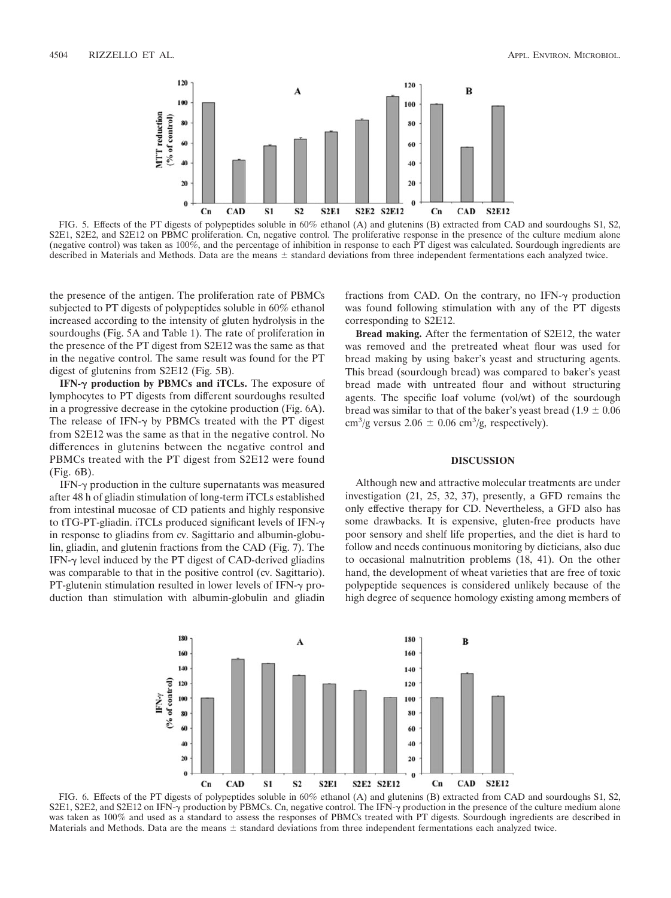

FIG. 5. Effects of the PT digests of polypeptides soluble in 60% ethanol (A) and glutenins (B) extracted from CAD and sourdoughs S1, S2, S2E1, S2E2, and S2E12 on PBMC proliferation. Cn, negative control. The proliferative response in the presence of the culture medium alone (negative control) was taken as 100%, and the percentage of inhibition in response to each PT digest was calculated. Sourdough ingredients are described in Materials and Methods. Data are the means  $\pm$  standard deviations from three independent fermentations each analyzed twice.

the presence of the antigen. The proliferation rate of PBMCs subjected to PT digests of polypeptides soluble in 60% ethanol increased according to the intensity of gluten hydrolysis in the sourdoughs (Fig. 5A and Table 1). The rate of proliferation in the presence of the PT digest from S2E12 was the same as that in the negative control. The same result was found for the PT digest of glutenins from S2E12 (Fig. 5B).

**IFN- production by PBMCs and iTCLs.** The exposure of lymphocytes to PT digests from different sourdoughs resulted in a progressive decrease in the cytokine production (Fig. 6A). The release of IFN- $\gamma$  by PBMCs treated with the PT digest from S2E12 was the same as that in the negative control. No differences in glutenins between the negative control and PBMCs treated with the PT digest from S2E12 were found (Fig. 6B).

IFN- $\gamma$  production in the culture supernatants was measured after 48 h of gliadin stimulation of long-term iTCLs established from intestinal mucosae of CD patients and highly responsive to tTG-PT-gliadin. iTCLs produced significant levels of IFN-γ in response to gliadins from cv. Sagittario and albumin-globulin, gliadin, and glutenin fractions from the CAD (Fig. 7). The IFN- $\gamma$  level induced by the PT digest of CAD-derived gliadins was comparable to that in the positive control (cv. Sagittario). PT-glutenin stimulation resulted in lower levels of IFN- $\gamma$  production than stimulation with albumin-globulin and gliadin

fractions from CAD. On the contrary, no IFN- $\gamma$  production was found following stimulation with any of the PT digests corresponding to S2E12.

**Bread making.** After the fermentation of S2E12, the water was removed and the pretreated wheat flour was used for bread making by using baker's yeast and structuring agents. This bread (sourdough bread) was compared to baker's yeast bread made with untreated flour and without structuring agents. The specific loaf volume (vol/wt) of the sourdough bread was similar to that of the baker's yeast bread  $(1.9 \pm 0.06$ cm<sup>3</sup>/g versus 2.06  $\pm$  0.06 cm<sup>3</sup>/g, respectively).

## **DISCUSSION**

Although new and attractive molecular treatments are under investigation (21, 25, 32, 37), presently, a GFD remains the only effective therapy for CD. Nevertheless, a GFD also has some drawbacks. It is expensive, gluten-free products have poor sensory and shelf life properties, and the diet is hard to follow and needs continuous monitoring by dieticians, also due to occasional malnutrition problems (18, 41). On the other hand, the development of wheat varieties that are free of toxic polypeptide sequences is considered unlikely because of the high degree of sequence homology existing among members of



FIG. 6. Effects of the PT digests of polypeptides soluble in 60% ethanol (A) and glutenins (B) extracted from CAD and sourdoughs S1, S2, S2E1, S2E2, and S2E12 on IFN- $\gamma$  production by PBMCs. Cn, negative control. The IFN- $\gamma$  production in the presence of the culture medium alone was taken as 100% and used as a standard to assess the responses of PBMCs treated with PT digests. Sourdough ingredients are described in Materials and Methods. Data are the means  $\pm$  standard deviations from three independent fermentations each analyzed twice.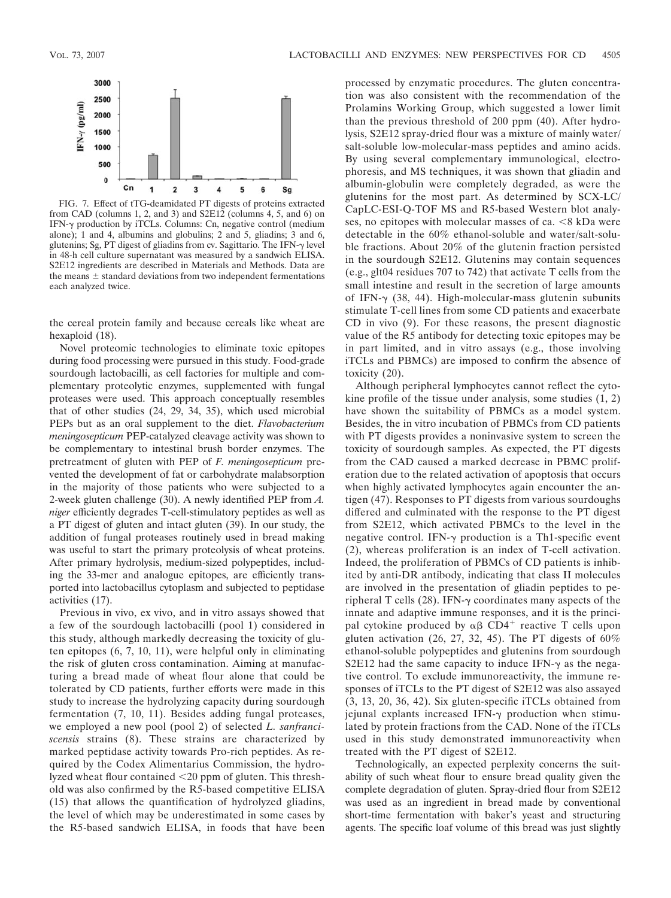

FIG. 7. Effect of tTG-deamidated PT digests of proteins extracted from CAD (columns 1, 2, and 3) and  $S2E1\overline{2}$  (columns 4, 5, and 6) on IFN- $\gamma$  production by iTCLs. Columns: Cn, negative control (medium alone); 1 and 4, albumins and globulins; 2 and 5, gliadins; 3 and 6, glutenins; Sg, PT digest of gliadins from cv. Sagittario. The IFN- $\gamma$  level in 48-h cell culture supernatant was measured by a sandwich ELISA. S2E12 ingredients are described in Materials and Methods. Data are the means  $\pm$  standard deviations from two independent fermentations each analyzed twice.

the cereal protein family and because cereals like wheat are hexaploid (18).

Novel proteomic technologies to eliminate toxic epitopes during food processing were pursued in this study. Food-grade sourdough lactobacilli, as cell factories for multiple and complementary proteolytic enzymes, supplemented with fungal proteases were used. This approach conceptually resembles that of other studies (24, 29, 34, 35), which used microbial PEPs but as an oral supplement to the diet. *Flavobacterium meningosepticum* PEP-catalyzed cleavage activity was shown to be complementary to intestinal brush border enzymes. The pretreatment of gluten with PEP of *F. meningosepticum* prevented the development of fat or carbohydrate malabsorption in the majority of those patients who were subjected to a 2-week gluten challenge (30). A newly identified PEP from *A. niger* efficiently degrades T-cell-stimulatory peptides as well as a PT digest of gluten and intact gluten (39). In our study, the addition of fungal proteases routinely used in bread making was useful to start the primary proteolysis of wheat proteins. After primary hydrolysis, medium-sized polypeptides, including the 33-mer and analogue epitopes, are efficiently transported into lactobacillus cytoplasm and subjected to peptidase activities (17).

Previous in vivo, ex vivo, and in vitro assays showed that a few of the sourdough lactobacilli (pool 1) considered in this study, although markedly decreasing the toxicity of gluten epitopes (6, 7, 10, 11), were helpful only in eliminating the risk of gluten cross contamination. Aiming at manufacturing a bread made of wheat flour alone that could be tolerated by CD patients, further efforts were made in this study to increase the hydrolyzing capacity during sourdough fermentation (7, 10, 11). Besides adding fungal proteases, we employed a new pool (pool 2) of selected *L. sanfranciscensis* strains (8). These strains are characterized by marked peptidase activity towards Pro-rich peptides. As required by the Codex Alimentarius Commission, the hydrolyzed wheat flour contained 20 ppm of gluten. This threshold was also confirmed by the R5-based competitive ELISA (15) that allows the quantification of hydrolyzed gliadins, the level of which may be underestimated in some cases by the R5-based sandwich ELISA, in foods that have been

processed by enzymatic procedures. The gluten concentration was also consistent with the recommendation of the Prolamins Working Group, which suggested a lower limit than the previous threshold of 200 ppm (40). After hydrolysis, S2E12 spray-dried flour was a mixture of mainly water/ salt-soluble low-molecular-mass peptides and amino acids. By using several complementary immunological, electrophoresis, and MS techniques, it was shown that gliadin and albumin-globulin were completely degraded, as were the glutenins for the most part. As determined by SCX-LC/ CapLC-ESI-Q-TOF MS and R5-based Western blot analyses, no epitopes with molecular masses of ca.  $\leq 8$  kDa were detectable in the 60% ethanol-soluble and water/salt-soluble fractions. About 20% of the glutenin fraction persisted in the sourdough S2E12. Glutenins may contain sequences (e.g., glt04 residues 707 to 742) that activate T cells from the small intestine and result in the secretion of large amounts of IFN- $\gamma$  (38, 44). High-molecular-mass glutenin subunits stimulate T-cell lines from some CD patients and exacerbate CD in vivo (9). For these reasons, the present diagnostic value of the R5 antibody for detecting toxic epitopes may be in part limited, and in vitro assays (e.g., those involving iTCLs and PBMCs) are imposed to confirm the absence of toxicity (20).

Although peripheral lymphocytes cannot reflect the cytokine profile of the tissue under analysis, some studies (1, 2) have shown the suitability of PBMCs as a model system. Besides, the in vitro incubation of PBMCs from CD patients with PT digests provides a noninvasive system to screen the toxicity of sourdough samples. As expected, the PT digests from the CAD caused a marked decrease in PBMC proliferation due to the related activation of apoptosis that occurs when highly activated lymphocytes again encounter the antigen (47). Responses to PT digests from various sourdoughs differed and culminated with the response to the PT digest from S2E12, which activated PBMCs to the level in the negative control. IFN- $\gamma$  production is a Th1-specific event (2), whereas proliferation is an index of T-cell activation. Indeed, the proliferation of PBMCs of CD patients is inhibited by anti-DR antibody, indicating that class II molecules are involved in the presentation of gliadin peptides to peripheral T cells (28). IFN- $\gamma$  coordinates many aspects of the innate and adaptive immune responses, and it is the principal cytokine produced by  $\alpha\beta$  CD4<sup>+</sup> reactive T cells upon gluten activation (26, 27, 32, 45). The PT digests of  $60\%$ ethanol-soluble polypeptides and glutenins from sourdough S2E12 had the same capacity to induce IFN- $\gamma$  as the negative control. To exclude immunoreactivity, the immune responses of iTCLs to the PT digest of S2E12 was also assayed (3, 13, 20, 36, 42). Six gluten-specific iTCLs obtained from jejunal explants increased IFN- $\gamma$  production when stimulated by protein fractions from the CAD. None of the iTCLs used in this study demonstrated immunoreactivity when treated with the PT digest of S2E12.

Technologically, an expected perplexity concerns the suitability of such wheat flour to ensure bread quality given the complete degradation of gluten. Spray-dried flour from S2E12 was used as an ingredient in bread made by conventional short-time fermentation with baker's yeast and structuring agents. The specific loaf volume of this bread was just slightly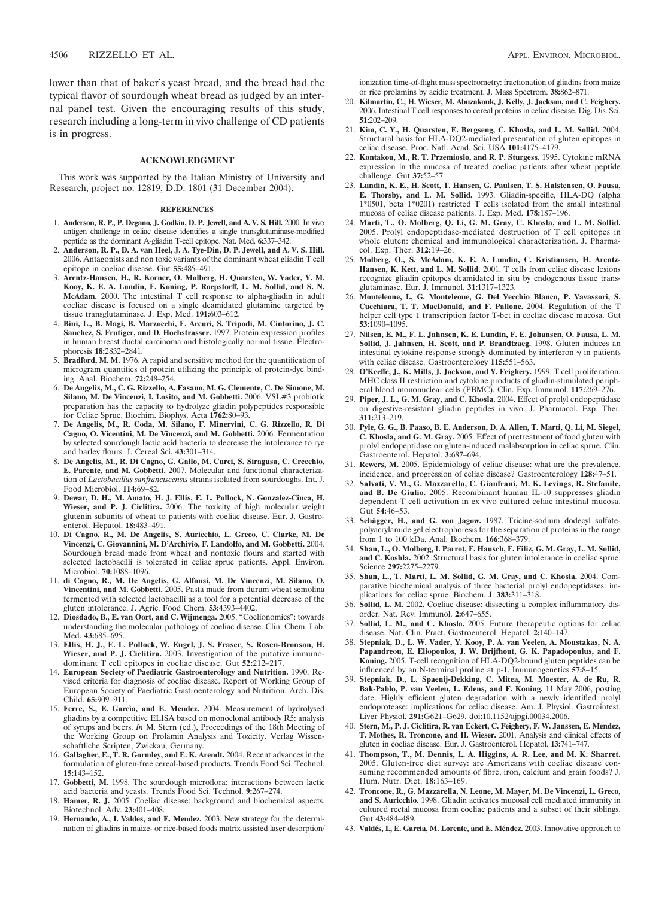4506 RIZZELLO ET AL. APPL. ENVIRON. MICROBIOL.

lower than that of baker's yeast bread, and the bread had the typical flavor of sourdough wheat bread as judged by an internal panel test. Given the encouraging results of this study, research including a long-term in vivo challenge of CD patients is in progress.

#### **ACKNOWLEDGMENT**

This work was supported by the Italian Ministry of University and Research, project no. 12819, D.D. 1801 (31 December 2004).

#### **REFERENCES**

- 1. **Anderson, R. P., P. Degano, J. Godkin, D. P. Jewell, and A. V. S. Hill.** 2000. In vivo antigen challenge in celiac disease identifies a single transglutaminase-modified peptide as the dominant A-gliadin T-cell epitope. Nat. Med. **6:**337–342.
- 2. **Anderson, R. P., D. A. van Heel, J. A. Tye-Din, D. P. Jewell, and A. V. S. Hill.** 2006. Antagonists and non toxic variants of the dominant wheat gliadin T cell epitope in coeliac disease. Gut **55:**485–491.
- 3. **Arentz-Hansen, H., R. Korner, O. Molberg, H. Quarsten, W. Vader, Y. M. Kooy, K. E. A. Lundin, F. Koning, P. Roepstorff, L. M. Sollid, and S. N. McAdam.** 2000. The intestinal T cell response to alpha-gliadin in adult coeliac disease is focused on a single deamidated glutamine targeted by tissue transglutaminase. J. Exp. Med. **191:**603–612.
- 4. **Bini, L., B. Magi, B. Marzocchi, F. Arcuri, S. Tripodi, M. Cintorino, J. C. Sanchez, S. Frutiger, and D. Hochstrasser.** 1997. Protein expression profiles in human breast ductal carcinoma and histologically normal tissue. Electrophoresis **18:**2832–2841.
- 5. **Bradford, M. M.** 1976. A rapid and sensitive method for the quantification of microgram quantities of protein utilizing the principle of protein-dye binding. Anal. Biochem. **72:**248–254.
- 6. **De Angelis, M., C. G. Rizzello, A. Fasano, M. G. Clemente, C. De Simone, M. Silano, M. De Vincenzi, I. Losito, and M. Gobbetti.** 2006. VSL#3 probiotic preparation has the capacity to hydrolyze gliadin polypeptides responsible for Celiac Sprue. Biochim. Biophys. Acta **1762:**80–93.
- 7. **De Angelis, M., R. Coda, M. Silano, F. Minervini, C. G. Rizzello, R. Di Cagno, O. Vicentini, M. De Vincenzi, and M. Gobbetti.** 2006. Fermentation by selected sourdough lactic acid bacteria to decrease the intolerance to rye and barley flours. J. Cereal Sci. **43:**301–314.
- 8. **De Angelis, M., R. Di Cagno, G. Gallo, M. Curci, S. Siragusa, C. Crecchio, E. Parente, and M. Gobbetti.** 2007. Molecular and functional characterization of *Lactobacillus sanfranciscensis* strains isolated from sourdoughs. Int. J. Food Microbiol. **114:**69–82.
- 9. **Dewar, D. H., M. Amato, H. J. Ellis, E. L. Pollock, N. Gonzalez-Cinca, H. Wieser, and P. J. Ciclitira.** 2006. The toxicity of high molecular weight glutenin subunits of wheat to patients with coeliac disease. Eur. J. Gastroenterol. Hepatol. **18:**483–491.
- 10. **Di Cagno, R., M. De Angelis, S. Auricchio, L. Greco, C. Clarke, M. De Vincenzi, C. Giovannini, M. D'Archivio, F. Landolfo, and M. Gobbetti.** 2004. Sourdough bread made from wheat and nontoxic flours and started with selected lactobacilli is tolerated in celiac sprue patients. Appl. Environ. Microbiol. **70:**1088–1096.
- 11. **di Cagno, R., M. De Angelis, G. Alfonsi, M. De Vincenzi, M. Silano, O. Vincentini, and M. Gobbetti.** 2005. Pasta made from durum wheat semolina fermented with selected lactobacilli as a tool for a potential decrease of the gluten intolerance. J. Agric. Food Chem. **53:**4393–4402.
- 12. **Diosdado, B., E. van Oort, and C. Wijmenga.** 2005. "Coelionomics": towards understanding the molecular pathology of coeliac disease. Clin. Chem. Lab. Med. **43:**685–695.
- 13. **Ellis, H. J., E. L. Pollock, W. Engel, J. S. Fraser, S. Rosen-Bronson, H. Wieser, and P. J. Ciclitira.** 2003. Investigation of the putative immunodominant T cell epitopes in coeliac disease. Gut **52:**212–217.
- 14. **European Society of Paediatric Gastroenterology and Nutrition.** 1990. Revised criteria for diagnosis of coeliac disease. Report of Working Group of European Society of Paediatric Gastroenterology and Nutrition. Arch. Dis. Child. **65:**909–911.
- 15. Ferre, S., E. Garcìa, and E. Mendez. 2004. Measurement of hydrolysed gliadins by a competitive ELISA based on monoclonal antibody R5: analysis of syrups and beers. *In* M. Stern (ed.), Proceedings of the 18th Meeting of the Working Group on Prolamin Analysis and Toxicity. Verlag Wissenschaftliche Scripten, Zwickau, Germany.
- 16. **Gallagher, E., T. R. Gormley, and E. K. Arendt.** 2004. Recent advances in the formulation of gluten-free cereal-based products. Trends Food Sci. Technol. **15:**143–152.
- 17. **Gobbetti, M.** 1998. The sourdough microflora: interactions between lactic acid bacteria and yeasts. Trends Food Sci. Technol. **9:**267–274.
- 18. **Hamer, R. J.** 2005. Coeliac disease: background and biochemical aspects. Biotechnol. Adv. **23:**401–408.
- 19. **Hernando, A., I. Valdes, and E. Mendez.** 2003. New strategy for the determination of gliadins in maize- or rice-based foods matrix-assisted laser desorption/

ionization time-of-flight mass spectrometry: fractionation of gliadins from maize or rice prolamins by acidic treatment. J. Mass Spectrom. **38:**862–871.

- 20. **Kilmartin, C., H. Wieser, M. Abuzakouk, J. Kelly, J. Jackson, and C. Feighery.** 2006. Intestinal T cell responses to cereal proteins in celiac disease. Dig. Dis. Sci. **51:**202–209.
- 21. **Kim, C. Y., H. Quarsten, E. Bergseng, C. Khosla, and L. M. Sollid.** 2004. Structural basis for HLA-DQ2-mediated presentation of gluten epitopes in celiac disease. Proc. Natl. Acad. Sci. USA **101:**4175–4179.
- 22. **Kontakou, M., R. T. Przemioslo, and R. P. Sturgess.** 1995. Cytokine mRNA expression in the mucosa of treated coeliac patients after wheat peptide challenge. Gut **37:**52–57.
- 23. **Lundin, K. E., H. Scott, T. Hansen, G. Paulsen, T. S. Halstensen, O. Fausa, E. Thorsby, and L. M. Sollid.** 1993. Gliadin-specific, HLA-DQ (alpha 1\*0501, beta 1\*0201) restricted T cells isolated from the small intestinal mucosa of celiac disease patients. J. Exp. Med. **178:**187–196.
- 24. **Marti, T., O. Molberg, Q. Li, G. M. Gray, C. Khosla, and L. M. Sollid.** 2005. Prolyl endopeptidase-mediated destruction of T cell epitopes in whole gluten: chemical and immunological characterization. J. Pharmacol. Exp. Ther. **312:**19–26.
- 25. **Molberg, O., S. McAdam, K. E. A. Lundin, C. Kristiansen, H. Arentz-Hansen, K. Kett, and L. M. Sollid.** 2001. T cells from celiac disease lesions recognize gliadin epitopes deamidated in situ by endogenous tissue transglutaminase. Eur. J. Immunol. **31:**1317–1323.
- 26. **Monteleone, I., G. Monteleone, G. Del Vecchio Blanco, P. Vavassori, S. Cucchiara, T. T. MacDonald, and F. Pallone.** 2004. Regulation of the T helper cell type 1 transcription factor T-bet in coeliac disease mucosa. Gut **53:**1090–1095.
- 27. **Nilsen, E. M., F. L. Jahnsen, K. E. Lundin, F. E. Johansen, O. Fausa, L. M. Sollid, J. Jahnsen, H. Scott, and P. Brandtzaeg.** 1998. Gluten induces an intestinal cytokine response strongly dominated by interferon  $\gamma$  in patients with celiac disease. Gastroenterology **115:**551–563.
- 28. **O'Keeffe, J., K. Mills, J. Jackson, and Y. Feighery.** 1999. T cell proliferation, MHC class II restriction and cytokine products of gliadin-stimulated peripheral blood mononuclear cells (PBMC). Clin. Exp. Immunol. **117:**269–276.
- 29. **Piper, J. L., G. M. Gray, and C. Khosla.** 2004. Effect of prolyl endopeptidase on digestive-resistant gliadin peptides in vivo. J. Pharmacol. Exp. Ther. **311:**213–219.
- 30. **Pyle, G. G., B. Paaso, B. E. Anderson, D. A. Allen, T. Marti, Q. Li, M. Siegel, C. Khosla, and G. M. Gray.** 2005. Effect of pretreatment of food gluten with prolyl endopeptidase on gluten-induced malabsorption in celiac sprue. Clin. Gastroenterol. Hepatol. **3:**687–694.
- 31. **Rewers, M.** 2005. Epidemiology of celiac disease: what are the prevalence, incidence, and progression of celiac disease? Gastroenterology **128:**47–51.
- 32. **Salvati, V. M., G. Mazzarella, C. Gianfrani, M. K. Levings, R. Stefanile, and B. De Giulio.** 2005. Recombinant human IL-10 suppresses gliadin dependent T cell activation in ex vivo cultured celiac intestinal mucosa. Gut **54:**46–53.
- 33. Schägger, H., and G. von Jagow. 1987. Tricine-sodium dodecyl sulfatepolyacrylamide gel electrophoresis for the separation of proteins in the range from 1 to 100 kDa. Anal. Biochem. **166:**368–379.
- 34. **Shan, L., O. Molberg, I. Parrot, F. Hausch, F. Filiz, G. M. Gray, L. M. Sollid, and C. Koshla.** 2002. Structural basis for gluten intolerance in coeliac sprue. Science **297:**2275–2279.
- 35. **Shan, L., T. Marti, L. M. Sollid, G. M. Gray, and C. Khosla.** 2004. Comparative biochemical analysis of three bacterial prolyl endopeptidases: implications for celiac sprue. Biochem. J. **383:**311–318.
- 36. **Sollid, L. M.** 2002. Coeliac disease: dissecting a complex inflammatory disorder. Nat. Rev. Immunol. **2:**647–655.
- 37. **Sollid, L. M., and C. Khosla.** 2005. Future therapeutic options for celiac disease. Nat. Clin. Pract. Gastroenterol. Hepatol. **2:**140–147.
- 38. **Stepniak, D., L. W. Vader, Y. Kooy, P. A. van Veelen, A. Moustakas, N. A. Papandreou, E. Eliopoulos, J. W. Drijfhout, G. K. Papadopoulus, and F. Koning.** 2005. T-cell recognition of HLA-DQ2-bound gluten peptides can be influenced by an N-terminal proline at p-1. Immunogenetics **57:**8–15.
- 39. **Stepniak, D., L. Spaenij-Dekking, C. Mitea, M. Moester, A. de Ru, R. Bak-Pablo, P. van Veelen, L. Edens, and F. Koning.** 11 May 2006, posting date. Highly efficient gluten degradation with a newly identified prolyl endoprotease: implications for celiac disease. Am. J. Physiol. Gastrointest. Liver Physiol. **291:**G621–G629. doi:10.1152/ajpgi.00034.2006.
- 40. **Stern, M., P. J. Ciclitira, R. van Eckert, C. Feighery, F. W. Janssen, E. Mendez, T. Mothes, R. Troncone, and H. Wieser.** 2001. Analysis and clinical effects of gluten in coeliac disease. Eur. J. Gastroenterol. Hepatol. **13:**741–747.
- 41. **Thompson, T., M. Dennis, L. A. Higgins, A. R. Lee, and M. K. Sharret.** 2005. Gluten-free diet survey: are Americans with coeliac disease consuming recommended amounts of fibre, iron, calcium and grain foods? J. Hum. Nutr. Diet. **18:**163–169.
- 42. **Troncone, R., G. Mazzarella, N. Leone, M. Mayer, M. De Vincenzi, L. Greco, and S. Auricchio.** 1998. Gliadin activates mucosal cell mediated immunity in cultured rectal mucosa from coeliac patients and a subset of their siblings. Gut **43:**484–489.
- 43. Valdés, I., E. Garcia, M. Lorente, and E. Méndez. 2003. Innovative approach to